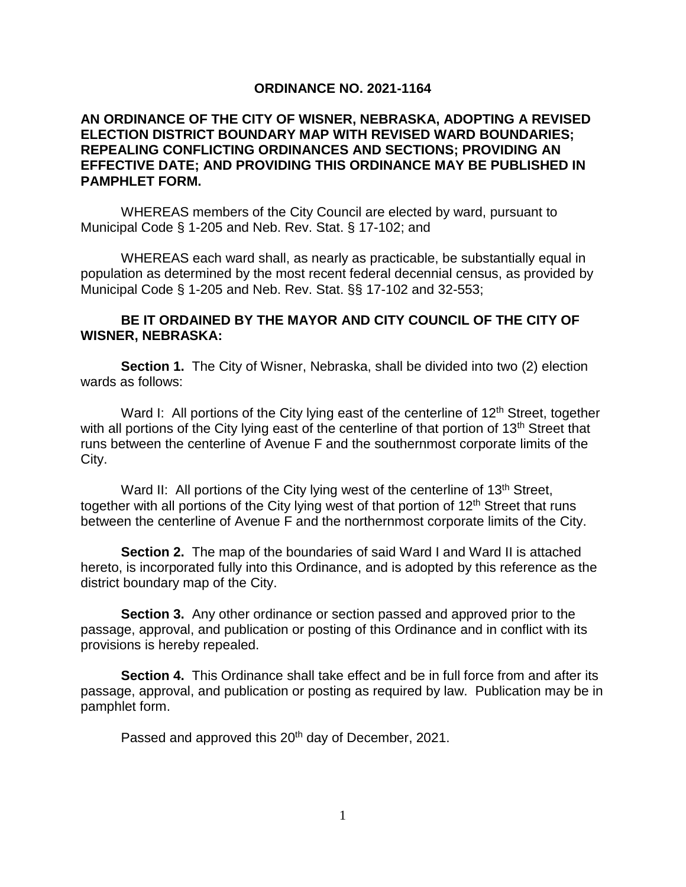## **ORDINANCE NO. 2021-1164**

## **AN ORDINANCE OF THE CITY OF WISNER, NEBRASKA, ADOPTING A REVISED ELECTION DISTRICT BOUNDARY MAP WITH REVISED WARD BOUNDARIES; REPEALING CONFLICTING ORDINANCES AND SECTIONS; PROVIDING AN EFFECTIVE DATE; AND PROVIDING THIS ORDINANCE MAY BE PUBLISHED IN PAMPHLET FORM.**

WHEREAS members of the City Council are elected by ward, pursuant to Municipal Code § 1-205 and Neb. Rev. Stat. § 17-102; and

WHEREAS each ward shall, as nearly as practicable, be substantially equal in population as determined by the most recent federal decennial census, as provided by Municipal Code § 1-205 and Neb. Rev. Stat. §§ 17-102 and 32-553;

## **BE IT ORDAINED BY THE MAYOR AND CITY COUNCIL OF THE CITY OF WISNER, NEBRASKA:**

**Section 1.** The City of Wisner, Nebraska, shall be divided into two (2) election wards as follows:

Ward I: All portions of the City lying east of the centerline of  $12<sup>th</sup>$  Street, together with all portions of the City lying east of the centerline of that portion of 13<sup>th</sup> Street that runs between the centerline of Avenue F and the southernmost corporate limits of the City.

Ward II: All portions of the City lying west of the centerline of 13<sup>th</sup> Street, together with all portions of the City lying west of that portion of 12<sup>th</sup> Street that runs between the centerline of Avenue F and the northernmost corporate limits of the City.

**Section 2.** The map of the boundaries of said Ward I and Ward II is attached hereto, is incorporated fully into this Ordinance, and is adopted by this reference as the district boundary map of the City.

**Section 3.** Any other ordinance or section passed and approved prior to the passage, approval, and publication or posting of this Ordinance and in conflict with its provisions is hereby repealed.

**Section 4.** This Ordinance shall take effect and be in full force from and after its passage, approval, and publication or posting as required by law. Publication may be in pamphlet form.

Passed and approved this 20<sup>th</sup> day of December, 2021.